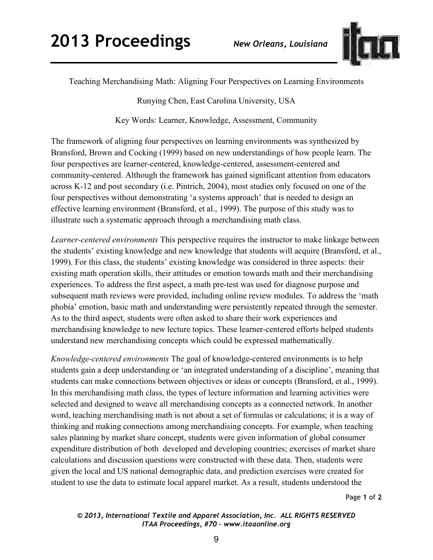

Teaching Merchandising Math: Aligning Four Perspectives on Learning Environments

Runying Chen, East Carolina University, USA

Key Words: Learner, Knowledge, Assessment, Community

The framework of aligning four perspectives on learning environments was synthesized by Bransford, Brown and Cocking (1999) based on new understandings of how people learn. The four perspectives are learner-centered, knowledge-centered, assessment-centered and community-centered. Although the framework has gained significant attention from educators across K-12 and post secondary (i.e. Pintrich, 2004), most studies only focused on one of the four perspectives without demonstrating 'a systems approach' that is needed to design an effective learning environment (Bransford, et al., 1999). The purpose of this study was to illustrate such a systematic approach through a merchandising math class.

*Learner-centered environments* This perspective requires the instructor to make linkage between the students' existing knowledge and new knowledge that students will acquire (Bransford, et al., 1999). For this class, the students' existing knowledge was considered in three aspects: their existing math operation skills, their attitudes or emotion towards math and their merchandising experiences. To address the first aspect, a math pre-test was used for diagnose purpose and subsequent math reviews were provided, including online review modules. To address the 'math phobia' emotion, basic math and understanding were persistently repeated through the semester. As to the third aspect, students were often asked to share their work experiences and merchandising knowledge to new lecture topics. These learner-centered efforts helped students understand new merchandising concepts which could be expressed mathematically.

*Knowledge-centered environments* The goal of knowledge-centered environments is to help students gain a deep understanding or 'an integrated understanding of a discipline', meaning that students can make connections between objectives or ideas or concepts (Bransford, et al., 1999). In this merchandising math class, the types of lecture information and learning activities were selected and designed to weave all merchandising concepts as a connected network. In another word, teaching merchandising math is not about a set of formulas or calculations; it is a way of thinking and making connections among merchandising concepts. For example, when teaching sales planning by market share concept, students were given information of global consumer expenditure distribution of both developed and developing countries; exercises of market share calculations and discussion questions were constructed with these data. Then, students were given the local and US national demographic data, and prediction exercises were created for student to use the data to estimate local apparel market. As a result, students understood the

Page **1** of **2** 

## *© 2013, International Textile and Apparel Association, Inc. ALL RIGHTS RESERVED ITAA Proceedings, #70 – www.itaaonline.org*